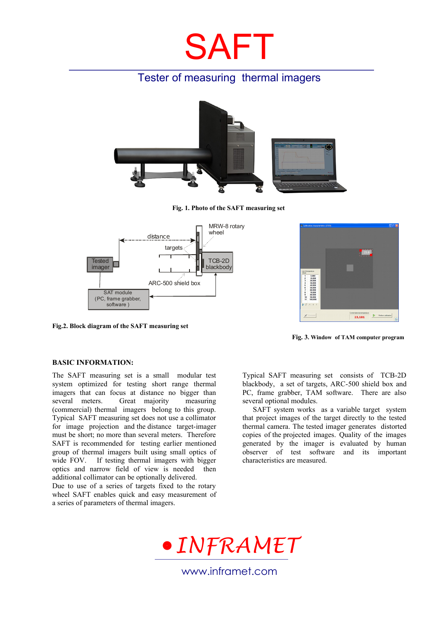# SAFT

## Tester of measuring thermal imagers



**Fig. 1. Photo of the SAFT measuring set** 



**Fig.2. Block diagram of the SAFT measuring set**



**Fig. 3. Window of TAM computer program** 

### **BASIC INFORMATION:**

The SAFT measuring set is a small modular test system optimized for testing short range thermal imagers that can focus at distance no bigger than several meters. Great majority measuring (commercial) thermal imagers belong to this group. Typical SAFT measuring set does not use a collimator for image projection and the distance target-imager must be short; no more than several meters. Therefore SAFT is recommended for testing earlier mentioned group of thermal imagers built using small optics of wide FOV. If testing thermal imagers with bigger optics and narrow field of view is needed then additional collimator can be optionally delivered.

Due to use of a series of targets fixed to the rotary wheel SAFT enables quick and easy measurement of a series of parameters of thermal imagers.

Typical SAFT measuring set consists of TCB-2D blackbody, a set of targets, ARC-500 shield box and PC, frame grabber, TAM software. There are also several optional modules.

SAFT system works as a variable target system that project images of the target directly to the tested thermal camera. The tested imager generates distorted copies of the projected images. Quality of the images generated by the imager is evaluated by human observer of test software and its important characteristics are measured.